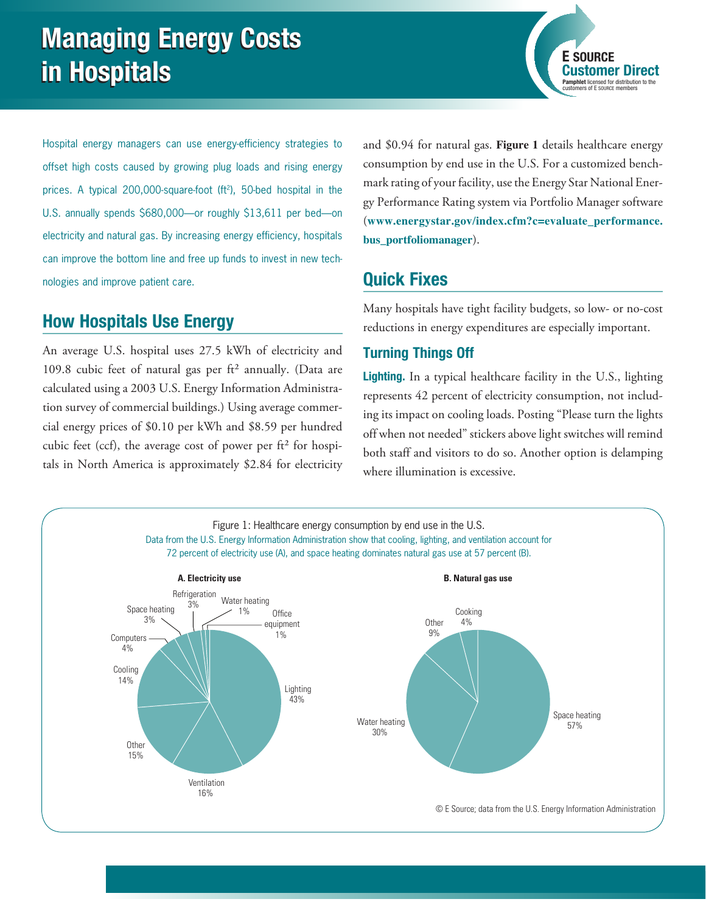**Customer Direct Pamphlet** licensed for distribution to the customers of E SOURCE members

Hospital energy managers can use energy-efficiency strategies to offset high costs caused by growing plug loads and rising energy prices. A typical 200,000-square-foot (ft<sup>2</sup>), 50-bed hospital in the U.S. annually spends \$680,000—or roughly \$13,611 per bed—on electricity and natural gas. By increasing energy efficiency, hospitals can improve the bottom line and free up funds to invest in new technologies and improve patient care.

# How Hospitals Use Energy

An average U.S. hospital uses 27.5 kWh of electricity and 109.8 cubic feet of natural gas per  $\text{ft}^2$  annually. (Data are calculated using a 2003 U.S. Energy Information Administration survey of commercial buildings.) Using average commercial energy prices of \$0.10 per kWh and \$8.59 per hundred cubic feet (ccf), the average cost of power per  $ft<sup>2</sup>$  for hospitals in North America is approximately \$2.84 for electricity and \$0.94 for natural gas. **Figure 1** details healthcare energy consumption by end use in the U.S. For a customized benchmark rating of your facility, use the Energy Star National Energy Performance Rating system via Portfolio Manager software (**[www.energystar.gov/index.cfm?c=evaluate\\_performance.](http://www.energystar.gov/index.cfm?c=evaluate_performance.bus_portfoliomanager) [bus\\_portfoliomanager](http://www.energystar.gov/index.cfm?c=evaluate_performance.bus_portfoliomanager)**).

# Quick Fixes

Many hospitals have tight facility budgets, so low- or no-cost reductions in energy expenditures are especially important.

# Turning Things Off

Lighting. In a typical healthcare facility in the U.S., lighting represents 42 percent of electricity consumption, not including its impact on cooling loads. Posting "Please turn the lights off when not needed" stickers above light switches will remind both staff and visitors to do so. Another option is delamping where illumination is excessive.

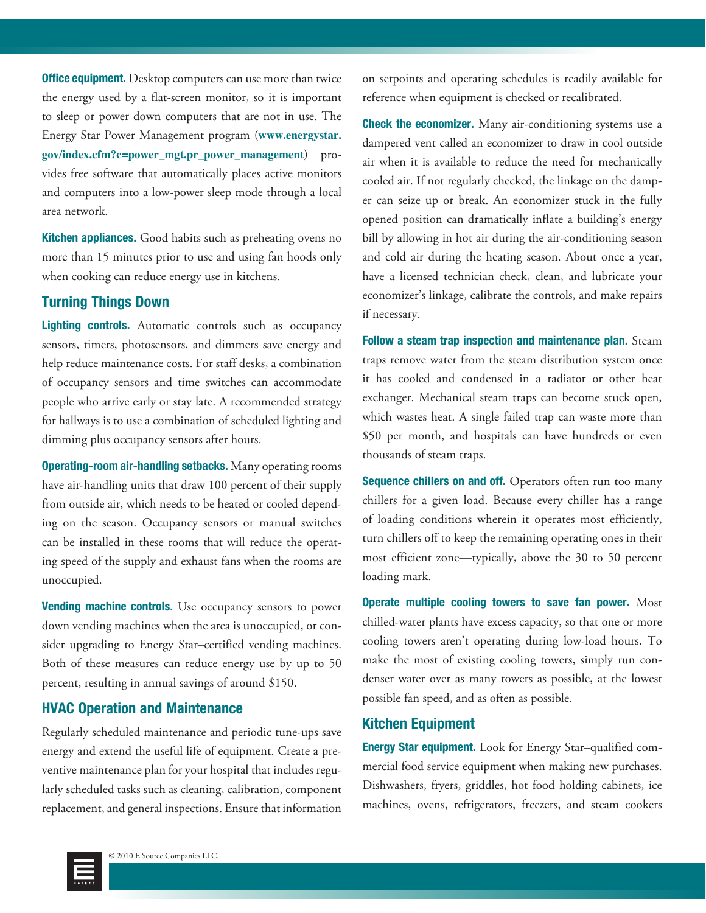**Office equipment.** Desktop computers can use more than twice the energy used by a flat-screen monitor, so it is important to sleep or power down computers that are not in use. The Energy Star Power Management program (**[www.energystar.](http://www.energystar.gov/index.cfm?c=power_mgt.pr_power_management) [gov/index.cfm?c=power\\_mgt.pr\\_power\\_management](http://www.energystar.gov/index.cfm?c=power_mgt.pr_power_management)**) provides free software that automatically places active monitors and computers into a low-power sleep mode through a local area network.

Kitchen appliances. Good habits such as preheating ovens no more than 15 minutes prior to use and using fan hoods only when cooking can reduce energy use in kitchens.

#### Turning Things Down

Lighting controls. Automatic controls such as occupancy sensors, timers, photosensors, and dimmers save energy and help reduce maintenance costs. For staff desks, a combination of occupancy sensors and time switches can accommodate people who arrive early or stay late. A recommended strategy for hallways is to use a combination of scheduled lighting and dimming plus occupancy sensors after hours.

Operating-room air-handling setbacks. Many operating rooms have air-handling units that draw 100 percent of their supply from outside air, which needs to be heated or cooled depending on the season. Occupancy sensors or manual switches can be installed in these rooms that will reduce the operating speed of the supply and exhaust fans when the rooms are unoccupied.

Vending machine controls. Use occupancy sensors to power down vending machines when the area is unoccupied, or consider upgrading to Energy Star–certified vending machines. Both of these measures can reduce energy use by up to 50 percent, resulting in annual savings of around \$150.

#### HVAC Operation and Maintenance

Regularly scheduled maintenance and periodic tune-ups save energy and extend the useful life of equipment. Create a preventive maintenance plan for your hospital that includes regularly scheduled tasks such as cleaning, calibration, component replacement, and general inspections. Ensure that information on setpoints and operating schedules is readily available for reference when equipment is checked or recalibrated.

**Check the economizer.** Many air-conditioning systems use a dampered vent called an economizer to draw in cool outside air when it is available to reduce the need for mechanically cooled air. If not regularly checked, the linkage on the damper can seize up or break. An economizer stuck in the fully opened position can dramatically inflate a building's energy bill by allowing in hot air during the air-conditioning season and cold air during the heating season. About once a year, have a licensed technician check, clean, and lubricate your economizer's linkage, calibrate the controls, and make repairs if necessary.

Follow a steam trap inspection and maintenance plan. Steam traps remove water from the steam distribution system once it has cooled and condensed in a radiator or other heat exchanger. Mechanical steam traps can become stuck open, which wastes heat. A single failed trap can waste more than \$50 per month, and hospitals can have hundreds or even thousands of steam traps.

Sequence chillers on and off. Operators often run too many chillers for a given load. Because every chiller has a range of loading conditions wherein it operates most efficiently, turn chillers off to keep the remaining operating ones in their most efficient zone—typically, above the 30 to 50 percent loading mark.

Operate multiple cooling towers to save fan power. Most chilled-water plants have excess capacity, so that one or more cooling towers aren't operating during low-load hours. To make the most of existing cooling towers, simply run condenser water over as many towers as possible, at the lowest possible fan speed, and as often as possible.

### Kitchen Equipment

Energy Star equipment. Look for Energy Star–qualified commercial food service equipment when making new purchases. Dishwashers, fryers, griddles, hot food holding cabinets, ice machines, ovens, refrigerators, freezers, and steam cookers

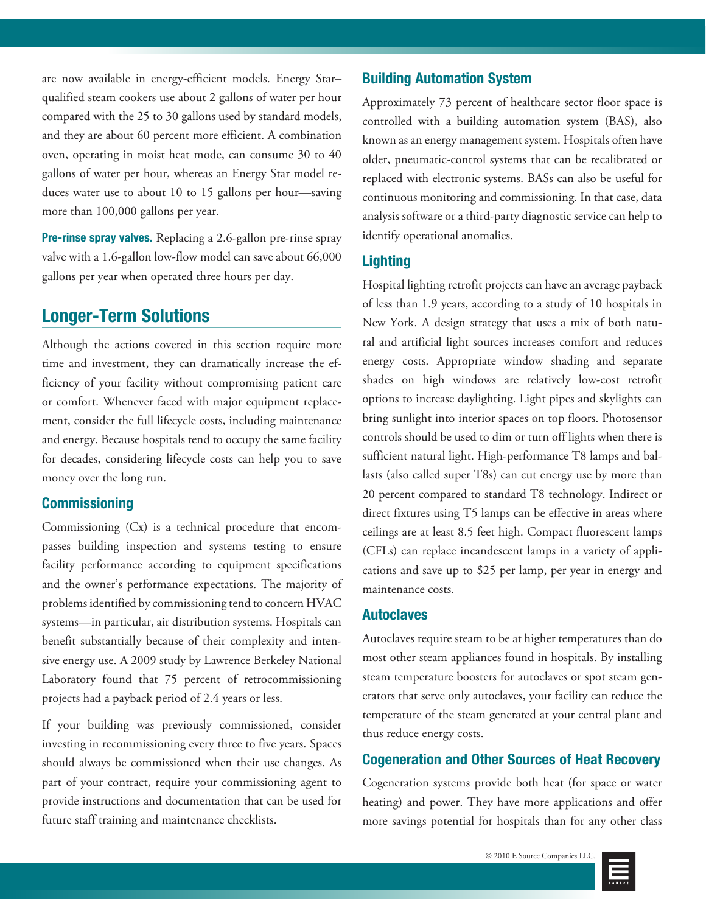are now available in energy-efficient models. Energy Star– qualified steam cookers use about 2 gallons of water per hour compared with the 25 to 30 gallons used by standard models, and they are about 60 percent more efficient. A combination oven, operating in moist heat mode, can consume 30 to 40 gallons of water per hour, whereas an Energy Star model reduces water use to about 10 to 15 gallons per hour—saving more than 100,000 gallons per year.

Pre-rinse spray valves. Replacing a 2.6-gallon pre-rinse spray valve with a 1.6-gallon low-flow model can save about 66,000 gallons per year when operated three hours per day.

# Longer-Term Solutions

Although the actions covered in this section require more time and investment, they can dramatically increase the efficiency of your facility without compromising patient care or comfort. Whenever faced with major equipment replacement, consider the full lifecycle costs, including maintenance and energy. Because hospitals tend to occupy the same facility for decades, considering lifecycle costs can help you to save money over the long run.

## **Commissioning**

Commissioning (Cx) is a technical procedure that encompasses building inspection and systems testing to ensure facility performance according to equipment specifications and the owner's performance expectations. The majority of problems identified by commissioning tend to concern HVAC systems—in particular, air distribution systems. Hospitals can benefit substantially because of their complexity and intensive energy use. A 2009 study by Lawrence Berkeley National Laboratory found that 75 percent of retrocommissioning projects had a payback period of 2.4 years or less.

If your building was previously commissioned, consider investing in recommissioning every three to five years. Spaces should always be commissioned when their use changes. As part of your contract, require your commissioning agent to provide instructions and documentation that can be used for future staff training and maintenance checklists.

## Building Automation System

Approximately 73 percent of healthcare sector floor space is controlled with a building automation system (BAS), also known as an energy management system. Hospitals often have older, pneumatic-control systems that can be recalibrated or replaced with electronic systems. BASs can also be useful for continuous monitoring and commissioning. In that case, data analysis software or a third-party diagnostic service can help to identify operational anomalies.

## **Lighting**

Hospital lighting retrofit projects can have an average payback of less than 1.9 years, according to a study of 10 hospitals in New York. A design strategy that uses a mix of both natural and artificial light sources increases comfort and reduces energy costs. Appropriate window shading and separate shades on high windows are relatively low-cost retrofit options to increase daylighting. Light pipes and skylights can bring sunlight into interior spaces on top floors. Photosensor controls should be used to dim or turn off lights when there is sufficient natural light. High-performance T8 lamps and ballasts (also called super T8s) can cut energy use by more than 20 percent compared to standard T8 technology. Indirect or direct fixtures using T5 lamps can be effective in areas where ceilings are at least 8.5 feet high. Compact fluorescent lamps (CFLs) can replace incandescent lamps in a variety of applications and save up to \$25 per lamp, per year in energy and maintenance costs.

#### Autoclaves

Autoclaves require steam to be at higher temperatures than do most other steam appliances found in hospitals. By installing steam temperature boosters for autoclaves or spot steam generators that serve only autoclaves, your facility can reduce the temperature of the steam generated at your central plant and thus reduce energy costs.

#### Cogeneration and Other Sources of Heat Recovery

Cogeneration systems provide both heat (for space or water heating) and power. They have more applications and offer more savings potential for hospitals than for any other class